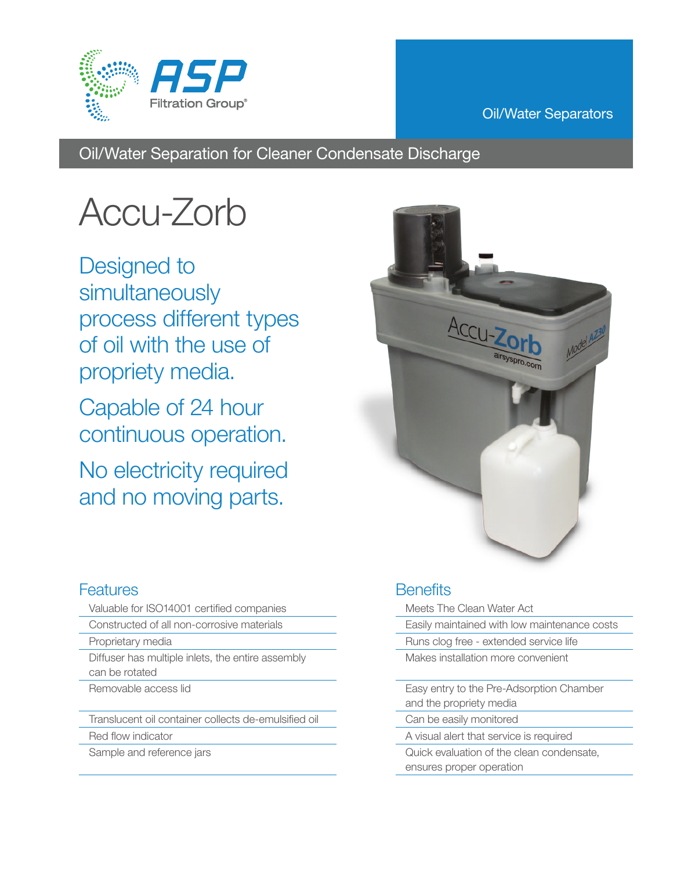

#### Oil/Water Separators

Oil/Water Separation for Cleaner Condensate Discharge

# Accu-Zorb

Designed to simultaneously process different types of oil with the use of propriety media.

Capable of 24 hour continuous operation.

No electricity required and no moving parts.



### **Features**

- Valuable for ISO14001 certified companies
- Constructed of all non-corrosive materials
- Proprietary media
- Diffuser has multiple inlets, the entire assembly can be rotated
- Removable access lid

Translucent oil container collects de-emulsified oil

- Red flow indicator
- Sample and reference jars

### **Benefits**

- Meets The Clean Water Act Easily maintained with low maintenance costs Runs clog free - extended service life Makes installation more convenient Easy entry to the Pre-Adsorption Chamber and the propriety media
- Can be easily monitored
- A visual alert that service is required
- Quick evaluation of the clean condensate, ensures proper operation